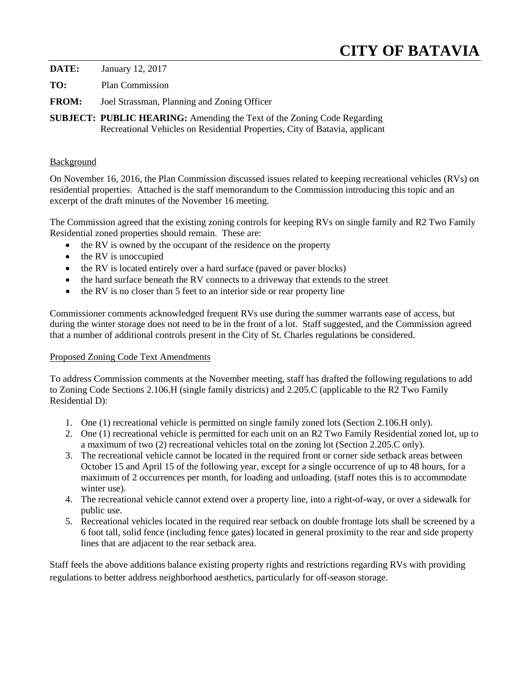# **CITY OF BATAVIA**

**DATE:** January 12, 2017

**TO:** Plan Commission

**FROM:** Joel Strassman, Planning and Zoning Officer

**SUBJECT: PUBLIC HEARING:** Amending the Text of the Zoning Code Regarding Recreational Vehicles on Residential Properties, City of Batavia, applicant

#### **Background**

On November 16, 2016, the Plan Commission discussed issues related to keeping recreational vehicles (RVs) on residential properties. Attached is the staff memorandum to the Commission introducing this topic and an excerpt of the draft minutes of the November 16 meeting.

The Commission agreed that the existing zoning controls for keeping RVs on single family and R2 Two Family Residential zoned properties should remain. These are:

- the RV is owned by the occupant of the residence on the property
- the RV is unoccupied
- the RV is located entirely over a hard surface (paved or paver blocks)
- the hard surface beneath the RV connects to a driveway that extends to the street
- the RV is no closer than 5 feet to an interior side or rear property line

Commissioner comments acknowledged frequent RVs use during the summer warrants ease of access, but during the winter storage does not need to be in the front of a lot. Staff suggested, and the Commission agreed that a number of additional controls present in the City of St. Charles regulations be considered.

#### Proposed Zoning Code Text Amendments

To address Commission comments at the November meeting, staff has drafted the following regulations to add to Zoning Code Sections 2.106.H (single family districts) and 2.205.C (applicable to the R2 Two Family Residential D):

- 1. One (1) recreational vehicle is permitted on single family zoned lots (Section 2.106.H only).
- 2. One (1) recreational vehicle is permitted for each unit on an R2 Two Family Residential zoned lot, up to a maximum of two (2) recreational vehicles total on the zoning lot (Section 2.205.C only).
- 3. The recreational vehicle cannot be located in the required front or corner side setback areas between October 15 and April 15 of the following year, except for a single occurrence of up to 48 hours, for a maximum of 2 occurrences per month, for loading and unloading. (staff notes this is to accommodate winter use).
- 4. The recreational vehicle cannot extend over a property line, into a right-of-way, or over a sidewalk for public use.
- 5. Recreational vehicles located in the required rear setback on double frontage lots shall be screened by a 6 foot tall, solid fence (including fence gates) located in general proximity to the rear and side property lines that are adjacent to the rear setback area.

Staff feels the above additions balance existing property rights and restrictions regarding RVs with providing regulations to better address neighborhood aesthetics, particularly for off-season storage.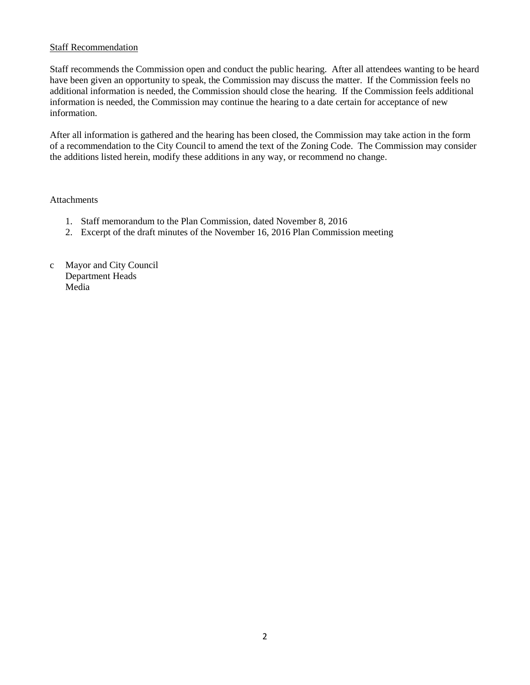#### Staff Recommendation

Staff recommends the Commission open and conduct the public hearing. After all attendees wanting to be heard have been given an opportunity to speak, the Commission may discuss the matter. If the Commission feels no additional information is needed, the Commission should close the hearing. If the Commission feels additional information is needed, the Commission may continue the hearing to a date certain for acceptance of new information.

After all information is gathered and the hearing has been closed, the Commission may take action in the form of a recommendation to the City Council to amend the text of the Zoning Code. The Commission may consider the additions listed herein, modify these additions in any way, or recommend no change.

#### Attachments

- 1. Staff memorandum to the Plan Commission, dated November 8, 2016
- 2. Excerpt of the draft minutes of the November 16, 2016 Plan Commission meeting
- c Mayor and City Council Department Heads Media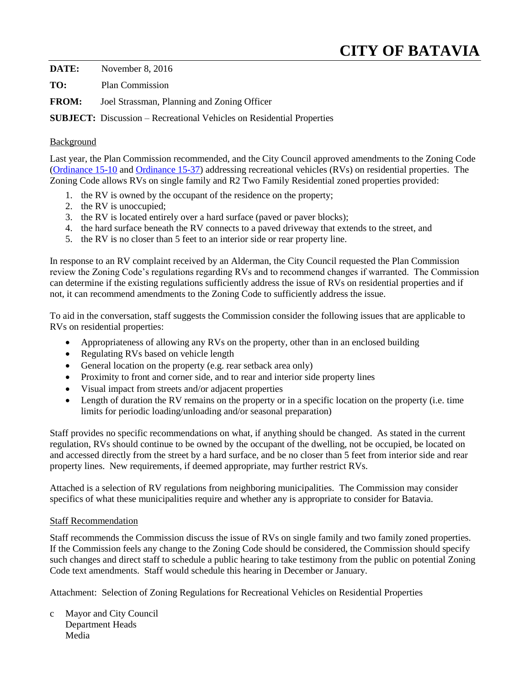## **CITY OF BATAVIA**

**DATE:** November 8, 2016

**TO:** Plan Commission

**FROM:** Joel Strassman, Planning and Zoning Officer

**SUBJECT:** Discussion – Recreational Vehicles on Residential Properties

#### Background

Last year, the Plan Commission recommended, and the City Council approved amendments to the Zoning Code [\(Ordinance 15-10](http://il-batavia.civicplus.com/AgendaCenter/ViewFile/Item/2778?fileID=2225) and [Ordinance 15-37\)](http://www.cityofbatavia.net/AgendaCenter/ViewFile/Item/5846?fileID=3355) addressing recreational vehicles (RVs) on residential properties. The Zoning Code allows RVs on single family and R2 Two Family Residential zoned properties provided:

- 1. the RV is owned by the occupant of the residence on the property;
- 2. the RV is unoccupied;
- 3. the RV is located entirely over a hard surface (paved or paver blocks);
- 4. the hard surface beneath the RV connects to a paved driveway that extends to the street, and
- 5. the RV is no closer than 5 feet to an interior side or rear property line.

In response to an RV complaint received by an Alderman, the City Council requested the Plan Commission review the Zoning Code's regulations regarding RVs and to recommend changes if warranted. The Commission can determine if the existing regulations sufficiently address the issue of RVs on residential properties and if not, it can recommend amendments to the Zoning Code to sufficiently address the issue.

To aid in the conversation, staff suggests the Commission consider the following issues that are applicable to RVs on residential properties:

- Appropriateness of allowing any RVs on the property, other than in an enclosed building
- Regulating RVs based on vehicle length
- General location on the property (e.g. rear setback area only)
- Proximity to front and corner side, and to rear and interior side property lines
- Visual impact from streets and/or adjacent properties
- Length of duration the RV remains on the property or in a specific location on the property (i.e. time limits for periodic loading/unloading and/or seasonal preparation)

Staff provides no specific recommendations on what, if anything should be changed. As stated in the current regulation, RVs should continue to be owned by the occupant of the dwelling, not be occupied, be located on and accessed directly from the street by a hard surface, and be no closer than 5 feet from interior side and rear property lines. New requirements, if deemed appropriate, may further restrict RVs.

Attached is a selection of RV regulations from neighboring municipalities. The Commission may consider specifics of what these municipalities require and whether any is appropriate to consider for Batavia.

#### Staff Recommendation

Staff recommends the Commission discuss the issue of RVs on single family and two family zoned properties. If the Commission feels any change to the Zoning Code should be considered, the Commission should specify such changes and direct staff to schedule a public hearing to take testimony from the public on potential Zoning Code text amendments. Staff would schedule this hearing in December or January.

Attachment: Selection of Zoning Regulations for Recreational Vehicles on Residential Properties

c Mayor and City Council Department Heads Media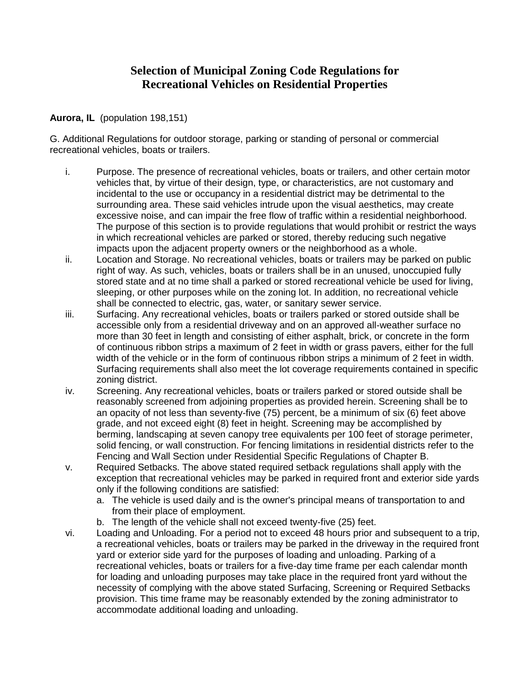## **Selection of Municipal Zoning Code Regulations for Recreational Vehicles on Residential Properties**

## **Aurora, IL** (population 198,151)

G. Additional Regulations for outdoor storage, parking or standing of personal or commercial recreational vehicles, boats or trailers.

- i. Purpose. The presence of recreational vehicles, boats or trailers, and other certain motor vehicles that, by virtue of their design, type, or characteristics, are not customary and incidental to the use or occupancy in a residential district may be detrimental to the surrounding area. These said vehicles intrude upon the visual aesthetics, may create excessive noise, and can impair the free flow of traffic within a residential neighborhood. The purpose of this section is to provide regulations that would prohibit or restrict the ways in which recreational vehicles are parked or stored, thereby reducing such negative impacts upon the adjacent property owners or the neighborhood as a whole.
- ii. Location and Storage. No recreational vehicles, boats or trailers may be parked on public right of way. As such, vehicles, boats or trailers shall be in an unused, unoccupied fully stored state and at no time shall a parked or stored recreational vehicle be used for living, sleeping, or other purposes while on the zoning lot. In addition, no recreational vehicle shall be connected to electric, gas, water, or sanitary sewer service.
- iii. Surfacing. Any recreational vehicles, boats or trailers parked or stored outside shall be accessible only from a residential driveway and on an approved all-weather surface no more than 30 feet in length and consisting of either asphalt, brick, or concrete in the form of continuous ribbon strips a maximum of 2 feet in width or grass pavers, either for the full width of the vehicle or in the form of continuous ribbon strips a minimum of 2 feet in width. Surfacing requirements shall also meet the lot coverage requirements contained in specific zoning district.
- iv. Screening. Any recreational vehicles, boats or trailers parked or stored outside shall be reasonably screened from adjoining properties as provided herein. Screening shall be to an opacity of not less than seventy-five (75) percent, be a minimum of six (6) feet above grade, and not exceed eight (8) feet in height. Screening may be accomplished by berming, landscaping at seven canopy tree equivalents per 100 feet of storage perimeter, solid fencing, or wall construction. For fencing limitations in residential districts refer to the Fencing and Wall Section under Residential Specific Regulations of Chapter B.
- v. Required Setbacks. The above stated required setback regulations shall apply with the exception that recreational vehicles may be parked in required front and exterior side yards only if the following conditions are satisfied:
	- a. The vehicle is used daily and is the owner's principal means of transportation to and from their place of employment.
	- b. The length of the vehicle shall not exceed twenty-five (25) feet.
- vi. Loading and Unloading. For a period not to exceed 48 hours prior and subsequent to a trip, a recreational vehicles, boats or trailers may be parked in the driveway in the required front yard or exterior side yard for the purposes of loading and unloading. Parking of a recreational vehicles, boats or trailers for a five-day time frame per each calendar month for loading and unloading purposes may take place in the required front yard without the necessity of complying with the above stated Surfacing, Screening or Required Setbacks provision. This time frame may be reasonably extended by the zoning administrator to accommodate additional loading and unloading.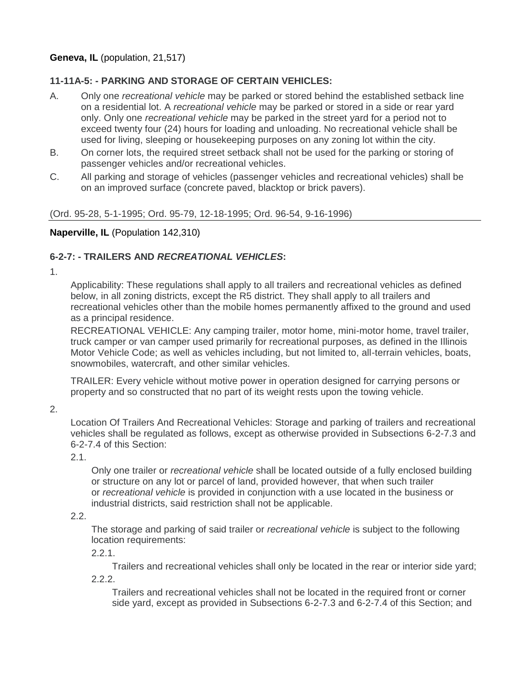## **Geneva, IL** (population, 21,517)

## **11-11A-5: - PARKING AND STORAGE OF CERTAIN VEHICLES:**

- A. Only one *recreational vehicle* may be parked or stored behind the established setback line on a residential lot. A *recreational vehicle* may be parked or stored in a side or rear yard only. Only one *recreational vehicle* may be parked in the street yard for a period not to exceed twenty four (24) hours for loading and unloading. No recreational vehicle shall be used for living, sleeping or housekeeping purposes on any zoning lot within the city.
- B. On corner lots, the required street setback shall not be used for the parking or storing of passenger vehicles and/or recreational vehicles.
- C. All parking and storage of vehicles (passenger vehicles and recreational vehicles) shall be on an improved surface (concrete paved, blacktop or brick pavers).

#### (Ord. 95-28, 5-1-1995; Ord. 95-79, 12-18-1995; Ord. 96-54, 9-16-1996)

## **Naperville, IL** (Population 142,310)

## **6-2-7: - TRAILERS AND** *RECREATIONAL VEHICLES***:**

1.

Applicability: These regulations shall apply to all trailers and recreational vehicles as defined below, in all zoning districts, except the R5 district. They shall apply to all trailers and recreational vehicles other than the mobile homes permanently affixed to the ground and used as a principal residence.

RECREATIONAL VEHICLE: Any camping trailer, motor home, mini-motor home, travel trailer, truck camper or van camper used primarily for recreational purposes, as defined in the Illinois Motor Vehicle Code; as well as vehicles including, but not limited to, all-terrain vehicles, boats, snowmobiles, watercraft, and other similar vehicles.

TRAILER: Every vehicle without motive power in operation designed for carrying persons or property and so constructed that no part of its weight rests upon the towing vehicle.

2.

Location Of Trailers And Recreational Vehicles: Storage and parking of trailers and recreational vehicles shall be regulated as follows, except as otherwise provided in Subsections 6-2-7.3 and 6-2-7.4 of this Section:

2.1.

Only one trailer or *recreational vehicle* shall be located outside of a fully enclosed building or structure on any lot or parcel of land, provided however, that when such trailer or *recreational vehicle* is provided in conjunction with a use located in the business or industrial districts, said restriction shall not be applicable.

## 2.2.

The storage and parking of said trailer or *recreational vehicle* is subject to the following location requirements:

2.2.1.

Trailers and recreational vehicles shall only be located in the rear or interior side yard;

2.2.2.

Trailers and recreational vehicles shall not be located in the required front or corner side yard, except as provided in Subsections 6-2-7.3 and 6-2-7.4 of this Section; and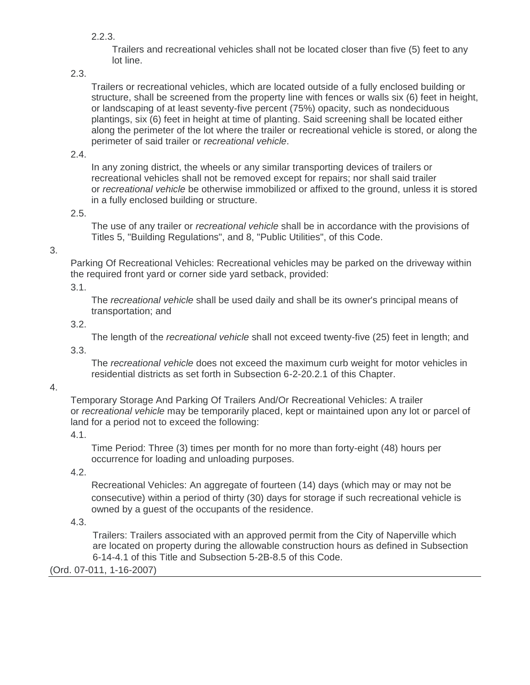2.2.3.

Trailers and recreational vehicles shall not be located closer than five (5) feet to any lot line.

2.3.

Trailers or recreational vehicles, which are located outside of a fully enclosed building or structure, shall be screened from the property line with fences or walls six (6) feet in height, or landscaping of at least seventy-five percent (75%) opacity, such as nondeciduous plantings, six (6) feet in height at time of planting. Said screening shall be located either along the perimeter of the lot where the trailer or recreational vehicle is stored, or along the perimeter of said trailer or *recreational vehicle*.

2.4.

In any zoning district, the wheels or any similar transporting devices of trailers or recreational vehicles shall not be removed except for repairs; nor shall said trailer or *recreational vehicle* be otherwise immobilized or affixed to the ground, unless it is stored in a fully enclosed building or structure.

2.5.

The use of any trailer or *recreational vehicle* shall be in accordance with the provisions of Titles 5, "Building Regulations", and 8, "Public Utilities", of this Code.

## 3.

Parking Of Recreational Vehicles: Recreational vehicles may be parked on the driveway within the required front yard or corner side yard setback, provided:

3.1.

The *recreational vehicle* shall be used daily and shall be its owner's principal means of transportation; and

3.2.

The length of the *recreational vehicle* shall not exceed twenty-five (25) feet in length; and

3.3.

The *recreational vehicle* does not exceed the maximum curb weight for motor vehicles in residential districts as set forth in Subsection 6-2-20.2.1 of this Chapter.

4.

Temporary Storage And Parking Of Trailers And/Or Recreational Vehicles: A trailer or *recreational vehicle* may be temporarily placed, kept or maintained upon any lot or parcel of land for a period not to exceed the following:

4.1.

Time Period: Three (3) times per month for no more than forty-eight (48) hours per occurrence for loading and unloading purposes.

4.2.

Recreational Vehicles: An aggregate of fourteen (14) days (which may or may not be consecutive) within a period of thirty (30) days for storage if such recreational vehicle is owned by a guest of the occupants of the residence.

4.3.

Trailers: Trailers associated with an approved permit from the City of Naperville which are located on property during the allowable construction hours as defined in Subsection 6-14-4.1 of this Title and Subsection 5-2B-8.5 of this Code.

## (Ord. 07-011, 1-16-2007)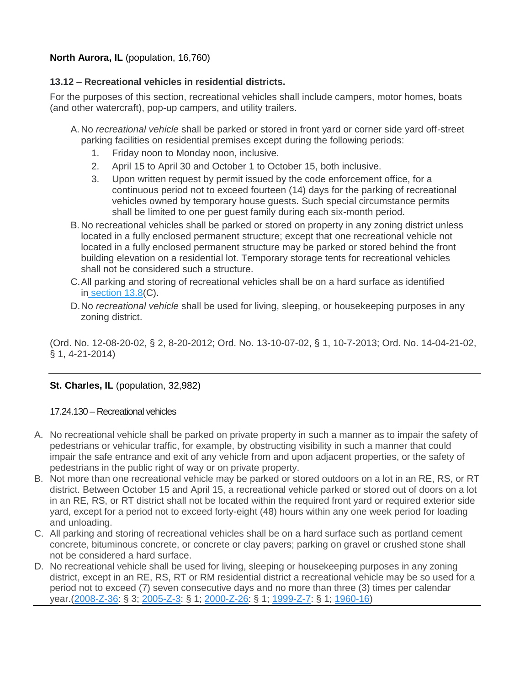## **North Aurora, IL** (population, 16,760)

## **13.12 – Recreational vehicles in residential districts.**

For the purposes of this section, recreational vehicles shall include campers, motor homes, boats (and other watercraft), pop-up campers, and utility trailers.

- A. No *recreational vehicle* shall be parked or stored in front yard or corner side yard off-street parking facilities on residential premises except during the following periods:
	- 1. Friday noon to Monday noon, inclusive.
	- 2. April 15 to April 30 and October 1 to October 15, both inclusive.
	- 3. Upon written request by permit issued by the code enforcement office, for a continuous period not to exceed fourteen (14) days for the parking of recreational vehicles owned by temporary house guests. Such special circumstance permits shall be limited to one per guest family during each six-month period.
- B. No recreational vehicles shall be parked or stored on property in any zoning district unless located in a fully enclosed permanent structure; except that one recreational vehicle not located in a fully enclosed permanent structure may be parked or stored behind the front building elevation on a residential lot. Temporary storage tents for recreational vehicles shall not be considered such a structure.
- C.All parking and storing of recreational vehicles shall be on a hard surface as identified in [section 13.8\(](https://www.municode.com/library/il/north_aurora/codes/code_of_ordinances?nodeId=TIT17ZO_CH13OREPALO_13.8DEOREPASP)C).
- D.No *recreational vehicle* shall be used for living, sleeping, or housekeeping purposes in any zoning district.

(Ord. No. 12-08-20-02, § 2, 8-20-2012; Ord. No. 13-10-07-02, § 1, 10-7-2013; Ord. No. 14-04-21-02, § 1, 4-21-2014)

## **St. Charles, IL** (population, 32,982)

## 17.24.130 – Recreational vehicles

- A. No recreational vehicle shall be parked on private property in such a manner as to impair the safety of pedestrians or vehicular traffic, for example, by obstructing visibility in such a manner that could impair the safe entrance and exit of any vehicle from and upon adjacent properties, or the safety of pedestrians in the public right of way or on private property.
- B. Not more than one recreational vehicle may be parked or stored outdoors on a lot in an RE, RS, or RT district. Between October 15 and April 15, a recreational vehicle parked or stored out of doors on a lot in an RE, RS, or RT district shall not be located within the required front yard or required exterior side yard, except for a period not to exceed forty-eight (48) hours within any one week period for loading and unloading.
- C. All parking and storing of recreational vehicles shall be on a hard surface such as portland cement concrete, bituminous concrete, or concrete or clay pavers; parking on gravel or crushed stone shall not be considered a hard surface.
- D. No recreational vehicle shall be used for living, sleeping or housekeeping purposes in any zoning district, except in an RE, RS, RT or RM residential district a recreational vehicle may be so used for a period not to exceed (7) seven consecutive days and no more than three (3) times per calendar year.[\(2008-Z-36:](https://codebook.stcharlesil.gov/ordinances/ordinance-no-2008-z-36) § 3; [2005-Z-3:](https://codebook.stcharlesil.gov/ordinances/ordinance-no-2005-z-3) § 1; [2000-Z-26:](https://codebook.stcharlesil.gov/ordinances/ordinance-no-2000-z-26) § 1; [1999-Z-7:](https://codebook.stcharlesil.gov/ordinances/ordinance-no-1999-z-7) § 1; [1960-16\)](https://codebook.stcharlesil.gov/ordinances/ordinance-no-1960-16)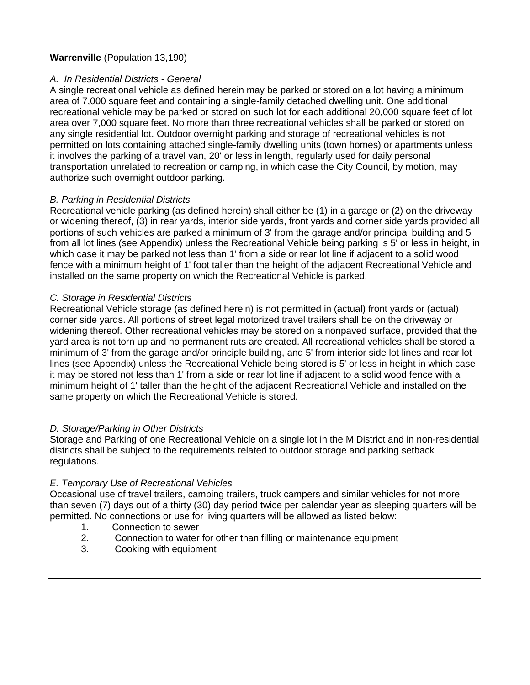## **Warrenville** (Population 13,190)

## *A. In Residential Districts - General*

A single recreational vehicle as defined herein may be parked or stored on a lot having a minimum area of 7,000 square feet and containing a single-family detached dwelling unit. One additional recreational vehicle may be parked or stored on such lot for each additional 20,000 square feet of lot area over 7,000 square feet. No more than three recreational vehicles shall be parked or stored on any single residential lot. Outdoor overnight parking and storage of recreational vehicles is not permitted on lots containing attached single-family dwelling units (town homes) or apartments unless it involves the parking of a travel van, 20' or less in length, regularly used for daily personal transportation unrelated to recreation or camping, in which case the City Council, by motion, may authorize such overnight outdoor parking.

## *B. Parking in Residential Districts*

Recreational vehicle parking (as defined herein) shall either be (1) in a garage or (2) on the driveway or widening thereof, (3) in rear yards, interior side yards, front yards and corner side yards provided all portions of such vehicles are parked a minimum of 3' from the garage and/or principal building and 5' from all lot lines (see Appendix) unless the Recreational Vehicle being parking is 5' or less in height, in which case it may be parked not less than 1' from a side or rear lot line if adjacent to a solid wood fence with a minimum height of 1' foot taller than the height of the adjacent Recreational Vehicle and installed on the same property on which the Recreational Vehicle is parked.

#### *C. Storage in Residential Districts*

Recreational Vehicle storage (as defined herein) is not permitted in (actual) front yards or (actual) corner side yards. All portions of street legal motorized travel trailers shall be on the driveway or widening thereof. Other recreational vehicles may be stored on a nonpaved surface, provided that the yard area is not torn up and no permanent ruts are created. All recreational vehicles shall be stored a minimum of 3' from the garage and/or principle building, and 5' from interior side lot lines and rear lot lines (see Appendix) unless the Recreational Vehicle being stored is 5' or less in height in which case it may be stored not less than 1' from a side or rear lot line if adjacent to a solid wood fence with a minimum height of 1' taller than the height of the adjacent Recreational Vehicle and installed on the same property on which the Recreational Vehicle is stored.

## *D. Storage/Parking in Other Districts*

Storage and Parking of one Recreational Vehicle on a single lot in the M District and in non-residential districts shall be subject to the requirements related to outdoor storage and parking setback regulations.

#### *E. Temporary Use of Recreational Vehicles*

Occasional use of travel trailers, camping trailers, truck campers and similar vehicles for not more than seven (7) days out of a thirty (30) day period twice per calendar year as sleeping quarters will be permitted. No connections or use for living quarters will be allowed as listed below:

- 1. Connection to sewer
- 2. Connection to water for other than filling or maintenance equipment
- 3. Cooking with equipment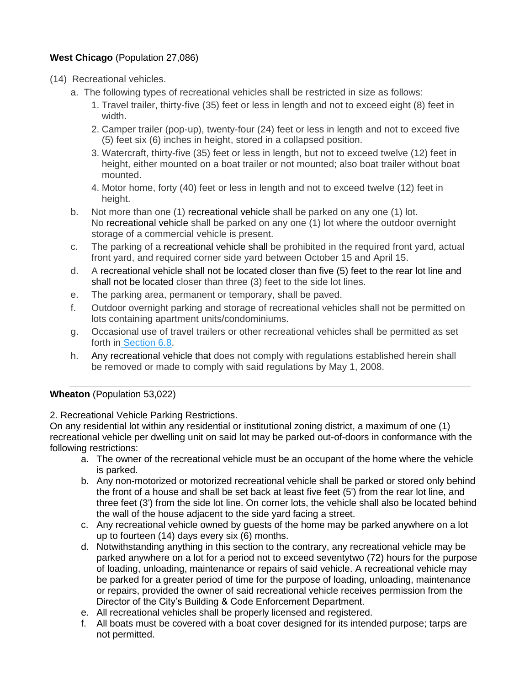## **West Chicago** (Population 27,086)

- (14) Recreational vehicles.
	- a. The following types of recreational vehicles shall be restricted in size as follows:
		- 1. Travel trailer, thirty-five (35) feet or less in length and not to exceed eight (8) feet in width.
		- 2. Camper trailer (pop-up), twenty-four (24) feet or less in length and not to exceed five (5) feet six (6) inches in height, stored in a collapsed position.
		- 3. Watercraft, thirty-five (35) feet or less in length, but not to exceed twelve (12) feet in height, either mounted on a boat trailer or not mounted; also boat trailer without boat mounted.
		- 4. Motor home, forty (40) feet or less in length and not to exceed twelve (12) feet in height.
	- b. Not more than one (1) recreational vehicle shall be parked on any one (1) lot. No recreational vehicle shall be parked on any one (1) lot where the outdoor overnight storage of a commercial vehicle is present.
	- c. The parking of a recreational vehicle shall be prohibited in the required front yard, actual front yard, and required corner side yard between October 15 and April 15.
	- d. A recreational vehicle shall not be located closer than five (5) feet to the rear lot line and shall not be located closer than three (3) feet to the side lot lines.
	- e. The parking area, permanent or temporary, shall be paved.
	- f. Outdoor overnight parking and storage of recreational vehicles shall not be permitted on lots containing apartment units/condominiums.
	- g. Occasional use of travel trailers or other recreational vehicles shall be permitted as set forth in [Section 6.8.](https://www.municode.com/library/il/west_chicago/codes/code_of_ordinances?nodeId=COOR_APXAZO_ARTVIZODIGE_6.8TEUS)
	- h. Any recreational vehicle that does not comply with regulations established herein shall be removed or made to comply with said regulations by May 1, 2008.

## **Wheaton** (Population 53,022)

2. Recreational Vehicle Parking Restrictions.

On any residential lot within any residential or institutional zoning district, a maximum of one (1) recreational vehicle per dwelling unit on said lot may be parked out-of-doors in conformance with the following restrictions:

- a. The owner of the recreational vehicle must be an occupant of the home where the vehicle is parked.
- b. Any non-motorized or motorized recreational vehicle shall be parked or stored only behind the front of a house and shall be set back at least five feet (5') from the rear lot line, and three feet (3') from the side lot line. On corner lots, the vehicle shall also be located behind the wall of the house adjacent to the side yard facing a street.
- c. Any recreational vehicle owned by guests of the home may be parked anywhere on a lot up to fourteen (14) days every six (6) months.
- d. Notwithstanding anything in this section to the contrary, any recreational vehicle may be parked anywhere on a lot for a period not to exceed seventytwo (72) hours for the purpose of loading, unloading, maintenance or repairs of said vehicle. A recreational vehicle may be parked for a greater period of time for the purpose of loading, unloading, maintenance or repairs, provided the owner of said recreational vehicle receives permission from the Director of the City's Building & Code Enforcement Department.
- e. All recreational vehicles shall be properly licensed and registered.
- f. All boats must be covered with a boat cover designed for its intended purpose; tarps are not permitted.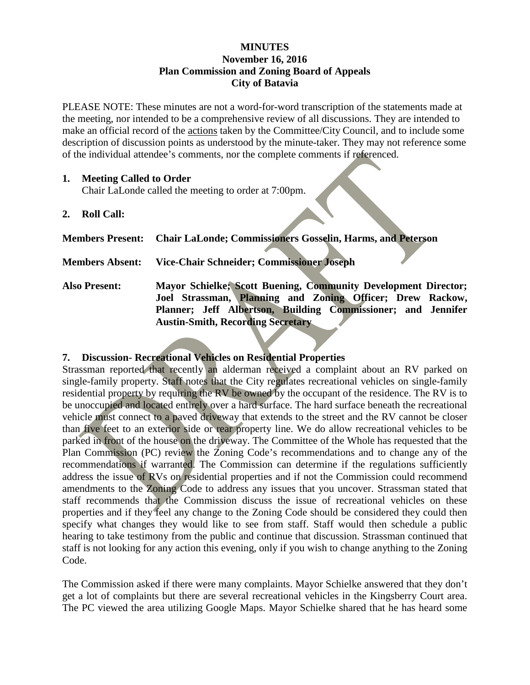## **MINUTES November 16, 2016 Plan Commission and Zoning Board of Appeals City of Batavia**

PLEASE NOTE: These minutes are not a word-for-word transcription of the statements made at the meeting, nor intended to be a comprehensive review of all discussions. They are intended to make an official record of the actions taken by the Committee/City Council, and to include some description of discussion points as understood by the minute-taker. They may not reference some of the individual attendee's comments, nor the complete comments if referenced.

## **1. Meeting Called to Order**

Chair LaLonde called the meeting to order at 7:00pm.

**2. Roll Call:**

| Members Present: Chair LaLonde; Commissioners Gosselin, Harms, and Peterson |  |  |
|-----------------------------------------------------------------------------|--|--|
|                                                                             |  |  |

## **Members Absent: Vice-Chair Schneider; Commissioner Joseph**

**Also Present: Mayor Schielke; Scott Buening, Community Development Director; Joel Strassman, Planning and Zoning Officer; Drew Rackow, Planner; Jeff Albertson, Building Commissioner; and Jennifer Austin-Smith, Recording Secretary** 

## **7. Discussion- Recreational Vehicles on Residential Properties**

Strassman reported that recently an alderman received a complaint about an RV parked on single-family property. Staff notes that the City regulates recreational vehicles on single-family residential property by requiring the RV be owned by the occupant of the residence. The RV is to be unoccupied and located entirely over a hard surface. The hard surface beneath the recreational vehicle must connect to a paved driveway that extends to the street and the RV cannot be closer than five feet to an exterior side or rear property line. We do allow recreational vehicles to be parked in front of the house on the driveway. The Committee of the Whole has requested that the Plan Commission (PC) review the Zoning Code's recommendations and to change any of the recommendations if warranted. The Commission can determine if the regulations sufficiently address the issue of RVs on residential properties and if not the Commission could recommend amendments to the Zoning Code to address any issues that you uncover. Strassman stated that staff recommends that the Commission discuss the issue of recreational vehicles on these properties and if they feel any change to the Zoning Code should be considered they could then specify what changes they would like to see from staff. Staff would then schedule a public hearing to take testimony from the public and continue that discussion. Strassman continued that staff is not looking for any action this evening, only if you wish to change anything to the Zoning Code.

The Commission asked if there were many complaints. Mayor Schielke answered that they don't get a lot of complaints but there are several recreational vehicles in the Kingsberry Court area. The PC viewed the area utilizing Google Maps. Mayor Schielke shared that he has heard some